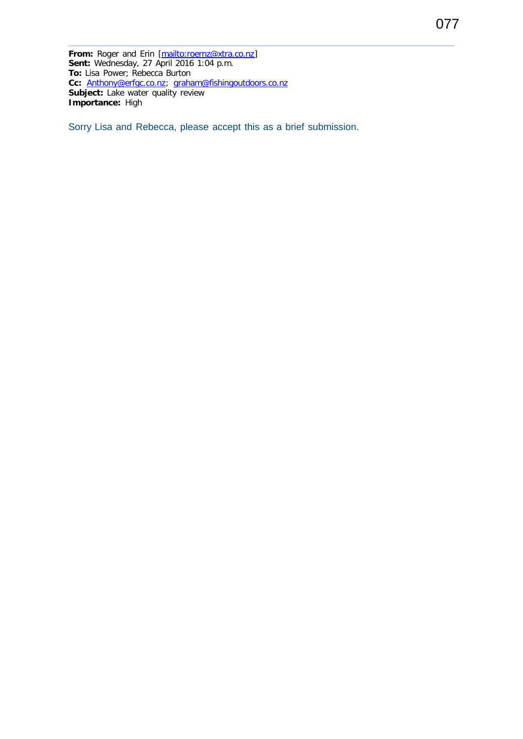From: Roger and Erin [\[mailto:roernz@xtra.co.nz\]](mailto:roernz@xtra.co.nz) **Sent:** Wednesday, 27 April 2016 1:04 p.m. **To:** Lisa Power; Rebecca Burton **Cc:** [Anthony@erfgc.co.nz;](mailto:Anthony@erfgc.co.nz) [graham@fishingoutdoors.co.nz](mailto:graham@fishingoutdoors.co.nz) **Subject:** Lake water quality review **Importance:** High

Sorry Lisa and Rebecca, please accept this as a brief submission.